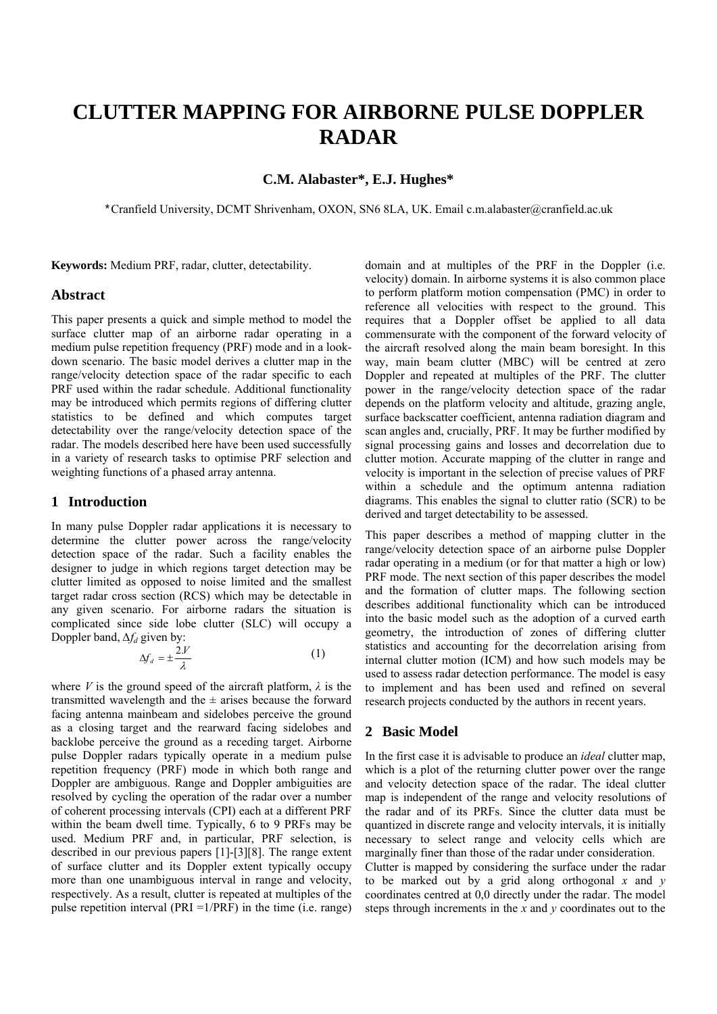# **CLUTTER MAPPING FOR AIRBORNE PULSE DOPPLER RADAR**

## **C.M. Alabaster\*, E.J. Hughes\***

\*Cranfield University, DCMT Shrivenham, OXON, SN6 8LA, UK. Email c.m.alabaster@cranfield.ac.uk

**Keywords:** Medium PRF, radar, clutter, detectability.

## **Abstract**

This paper presents a quick and simple method to model the surface clutter map of an airborne radar operating in a medium pulse repetition frequency (PRF) mode and in a lookdown scenario. The basic model derives a clutter map in the range/velocity detection space of the radar specific to each PRF used within the radar schedule. Additional functionality may be introduced which permits regions of differing clutter statistics to be defined and which computes target detectability over the range/velocity detection space of the radar. The models described here have been used successfully in a variety of research tasks to optimise PRF selection and weighting functions of a phased array antenna.

## **1 Introduction**

In many pulse Doppler radar applications it is necessary to determine the clutter power across the range/velocity detection space of the radar. Such a facility enables the designer to judge in which regions target detection may be clutter limited as opposed to noise limited and the smallest target radar cross section (RCS) which may be detectable in any given scenario. For airborne radars the situation is complicated since side lobe clutter (SLC) will occupy a Doppler band,  $\Delta f_d$  given by:

$$
\Delta f_d = \pm \frac{2.V}{\lambda} \tag{1}
$$

where *V* is the ground speed of the aircraft platform,  $\lambda$  is the transmitted wavelength and the  $\pm$  arises because the forward facing antenna mainbeam and sidelobes perceive the ground as a closing target and the rearward facing sidelobes and backlobe perceive the ground as a receding target. Airborne pulse Doppler radars typically operate in a medium pulse repetition frequency (PRF) mode in which both range and Doppler are ambiguous. Range and Doppler ambiguities are resolved by cycling the operation of the radar over a number of coherent processing intervals (CPI) each at a different PRF within the beam dwell time. Typically, 6 to 9 PRFs may be used. Medium PRF and, in particular, PRF selection, is described in our previous papers [1]-[3][8]. The range extent of surface clutter and its Doppler extent typically occupy more than one unambiguous interval in range and velocity, respectively. As a result, clutter is repeated at multiples of the pulse repetition interval (PRI  $=1/PRF$ ) in the time (i.e. range)

domain and at multiples of the PRF in the Doppler (i.e. velocity) domain. In airborne systems it is also common place to perform platform motion compensation (PMC) in order to reference all velocities with respect to the ground. This requires that a Doppler offset be applied to all data commensurate with the component of the forward velocity of the aircraft resolved along the main beam boresight. In this way, main beam clutter (MBC) will be centred at zero Doppler and repeated at multiples of the PRF. The clutter power in the range/velocity detection space of the radar depends on the platform velocity and altitude, grazing angle, surface backscatter coefficient, antenna radiation diagram and scan angles and, crucially, PRF. It may be further modified by signal processing gains and losses and decorrelation due to clutter motion. Accurate mapping of the clutter in range and velocity is important in the selection of precise values of PRF within a schedule and the optimum antenna radiation diagrams. This enables the signal to clutter ratio (SCR) to be derived and target detectability to be assessed.

This paper describes a method of mapping clutter in the range/velocity detection space of an airborne pulse Doppler radar operating in a medium (or for that matter a high or low) PRF mode. The next section of this paper describes the model and the formation of clutter maps. The following section describes additional functionality which can be introduced into the basic model such as the adoption of a curved earth geometry, the introduction of zones of differing clutter statistics and accounting for the decorrelation arising from internal clutter motion (ICM) and how such models may be used to assess radar detection performance. The model is easy to implement and has been used and refined on several research projects conducted by the authors in recent years.

## **2 Basic Model**

In the first case it is advisable to produce an *ideal* clutter map, which is a plot of the returning clutter power over the range and velocity detection space of the radar. The ideal clutter map is independent of the range and velocity resolutions of the radar and of its PRFs. Since the clutter data must be quantized in discrete range and velocity intervals, it is initially necessary to select range and velocity cells which are marginally finer than those of the radar under consideration. Clutter is mapped by considering the surface under the radar to be marked out by a grid along orthogonal *x* and *y* coordinates centred at 0,0 directly under the radar. The model steps through increments in the *x* and *y* coordinates out to the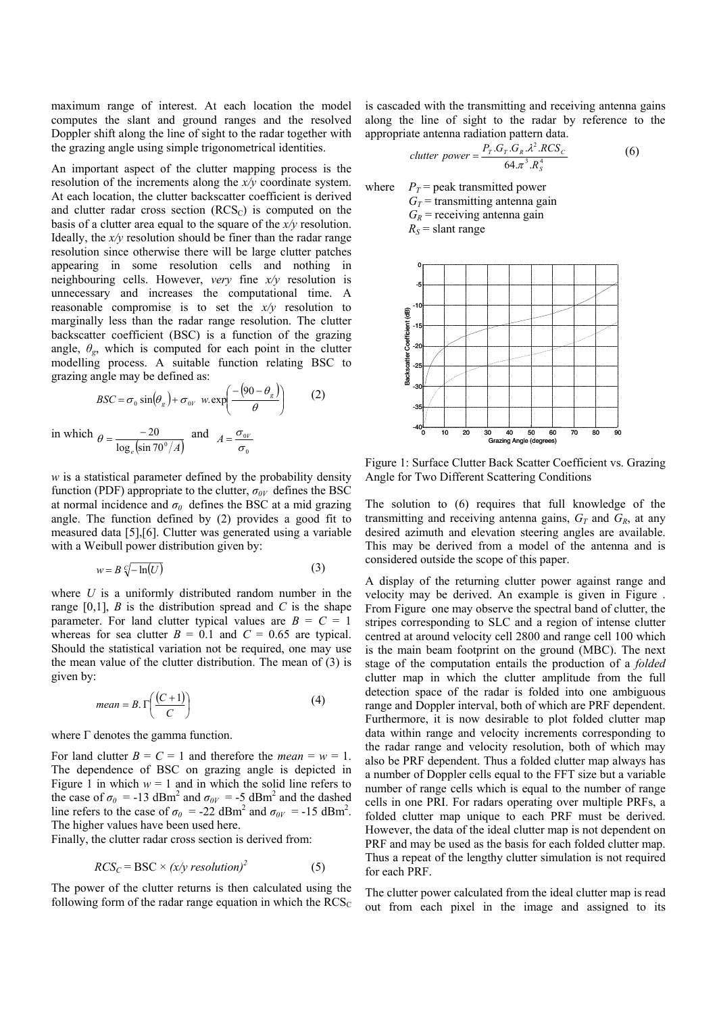maximum range of interest. At each location the model computes the slant and ground ranges and the resolved Doppler shift along the line of sight to the radar together with the grazing angle using simple trigonometrical identities.

An important aspect of the clutter mapping process is the resolution of the increments along the *x/y* coordinate system. At each location, the clutter backscatter coefficient is derived and clutter radar cross section  $(RCS<sub>C</sub>)$  is computed on the basis of a clutter area equal to the square of the *x/y* resolution. Ideally, the  $x/y$  resolution should be finer than the radar range resolution since otherwise there will be large clutter patches appearing in some resolution cells and nothing in neighbouring cells. However, *very* fine *x/y* resolution is unnecessary and increases the computational time. A reasonable compromise is to set the *x/y* resolution to marginally less than the radar range resolution. The clutter backscatter coefficient (BSC) is a function of the grazing angle,  $\theta$ <sup>*g*</sup>, which is computed for each point in the clutter modelling process. A suitable function relating BSC to grazing angle may be defined as:

$$
BSC = \sigma_0 \sin(\theta_g) + \sigma_{0V} w \exp\left(\frac{-(90 - \theta_g)}{\theta}\right) \tag{2}
$$

in which  $\log_e(\sin 70^\circ/A)$  $heta = \frac{-20}{\sqrt{1-\frac{20}{c^2}} \arctan \theta}$  and 0 0  $A = \frac{\sigma_{0V}}{\sigma_{0}}$ 

*w* is a statistical parameter defined by the probability density function (PDF) appropriate to the clutter,  $\sigma_{0V}$  defines the BSC at normal incidence and  $\sigma_0$  defines the BSC at a mid grazing angle. The function defined by (2) provides a good fit to measured data [5],[6]. Clutter was generated using a variable with a Weibull power distribution given by:

$$
w = B \sqrt{1 - \ln(U)} \tag{3}
$$

where *U* is a uniformly distributed random number in the range  $[0,1]$ , *B* is the distribution spread and *C* is the shape parameter. For land clutter typical values are  $B = C = 1$ whereas for sea clutter  $B = 0.1$  and  $C = 0.65$  are typical. Should the statistical variation not be required, one may use the mean value of the clutter distribution. The mean of (3) is given by:

$$
mean = B. \Gamma \left( \frac{(C+1)}{C} \right) \tag{4}
$$

where  $\Gamma$  denotes the gamma function.

For land clutter  $B = C = 1$  and therefore the *mean* =  $w = 1$ . The dependence of BSC on grazing angle is depicted in Figure 1 in which  $w = 1$  and in which the solid line refers to the case of  $\sigma_0 = -13$  dBm<sup>2</sup> and  $\sigma_{0V} = -5$  dBm<sup>2</sup> and the dashed line refers to the case of  $\sigma_0 = -22$  dBm<sup>2</sup> and  $\sigma_{0V} = -15$  dBm<sup>2</sup>. The higher values have been used here.

Finally, the clutter radar cross section is derived from:

$$
RCS_C = \text{BSC} \times (x/y \text{ resolution})^2 \tag{5}
$$

The power of the clutter returns is then calculated using the following form of the radar range equation in which the  $RCS<sub>C</sub>$ 

is cascaded with the transmitting and receiving antenna gains along the line of sight to the radar by reference to the appropriate antenna radiation pattern data.

$$
clutter power = \frac{P_T.G_T.G_R.\lambda^2.RCS_C}{64.\pi^3.R_s^4}
$$
 (6)

where  $P_T$  = peak transmitted power  $G_T$  = transmitting antenna gain  $G_R$  = receiving antenna gain  $R_S$  = slant range



Figure 1: Surface Clutter Back Scatter Coefficient vs. Grazing Angle for Two Different Scattering Conditions

The solution to (6) requires that full knowledge of the transmitting and receiving antenna gains,  $G_T$  and  $G_R$ , at any desired azimuth and elevation steering angles are available. This may be derived from a model of the antenna and is considered outside the scope of this paper.

A display of the returning clutter power against range and velocity may be derived. An example is given in Figure . From Figure one may observe the spectral band of clutter, the stripes corresponding to SLC and a region of intense clutter centred at around velocity cell 2800 and range cell 100 which is the main beam footprint on the ground (MBC). The next stage of the computation entails the production of a *folded* clutter map in which the clutter amplitude from the full detection space of the radar is folded into one ambiguous range and Doppler interval, both of which are PRF dependent. Furthermore, it is now desirable to plot folded clutter map data within range and velocity increments corresponding to the radar range and velocity resolution, both of which may also be PRF dependent. Thus a folded clutter map always has a number of Doppler cells equal to the FFT size but a variable number of range cells which is equal to the number of range cells in one PRI. For radars operating over multiple PRFs, a folded clutter map unique to each PRF must be derived. However, the data of the ideal clutter map is not dependent on PRF and may be used as the basis for each folded clutter map. Thus a repeat of the lengthy clutter simulation is not required for each PRF.

The clutter power calculated from the ideal clutter map is read out from each pixel in the image and assigned to its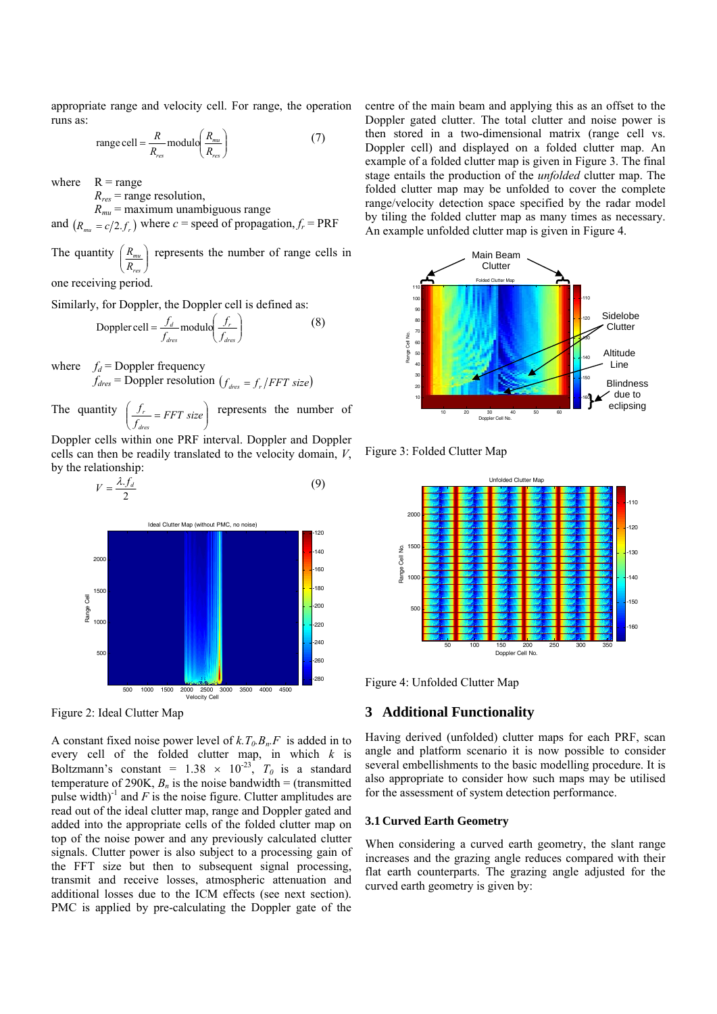appropriate range and velocity cell. For range, the operation runs as:

range cell = 
$$
\frac{R}{R_{res}}
$$
 modulo  $\left(\frac{R_{mu}}{R_{res}}\right)$  (7)

where  $R = range$ 

 $R_{res}$  = range resolution,

 $R_{mu}$  = maximum unambiguous range and  $(R_{mu} = c/2.f_r)$  where  $c$  = speed of propagation,  $f_r$  = PRF

The quantity  $\left(\frac{R_{mu}}{R}\right)$ ⎠ ⎞  $\parallel$ ⎝ ⎛ *res mu R*  $R_{mu}$  represents the number of range cells in

one receiving period.

Similarly, for Doppler, the Doppler cell is defined as:

Doppler cell = 
$$
\frac{f_d}{f_{dres}}
$$
 modulo  $\left(\frac{f_r}{f_{dres}}\right)$  (8)

where  $f_d$  = Doppler frequency  $f_{dres} = \text{Doppler resolution} (f_{dres} = f_r / FFT \text{ size})$ 

The quantity  $\left(\frac{f_r}{f} = FFT\ size\right)$ ⎠ ⎞  $\parallel$ ⎝  $\left(\frac{f_r}{f_{\text{dres}}} = FFT\,\,size\right)$ *f dres*  $r_{r} = FFT \sin \theta$  represents the number of

Doppler cells within one PRF interval. Doppler and Doppler cells can then be readily translated to the velocity domain, *V*, by the relationship:



Velocity Cell 500 1000 1500 2000 2500 3000 3500 4000 4500

-280

Figure 2: Ideal Clutter Map

A constant fixed noise power level of  $k.T_0.B_n.F$  is added in to every cell of the folded clutter map, in which *k* is Boltzmann's constant =  $1.38 \times 10^{-23}$ ,  $T_0$  is a standard temperature of 290K,  $B_n$  is the noise bandwidth = (transmitted pulse width)<sup>-1</sup> and  $F$  is the noise figure. Clutter amplitudes are read out of the ideal clutter map, range and Doppler gated and added into the appropriate cells of the folded clutter map on top of the noise power and any previously calculated clutter signals. Clutter power is also subject to a processing gain of the FFT size but then to subsequent signal processing, transmit and receive losses, atmospheric attenuation and additional losses due to the ICM effects (see next section). PMC is applied by pre-calculating the Doppler gate of the centre of the main beam and applying this as an offset to the Doppler gated clutter. The total clutter and noise power is then stored in a two-dimensional matrix (range cell vs. Doppler cell) and displayed on a folded clutter map. An example of a folded clutter map is given in Figure 3. The final stage entails the production of the *unfolded* clutter map. The folded clutter map may be unfolded to cover the complete range/velocity detection space specified by the radar model by tiling the folded clutter map as many times as necessary. An example unfolded clutter map is given in Figure 4.



Figure 3: Folded Clutter Map



Figure 4: Unfolded Clutter Map

## **3 Additional Functionality**

Having derived (unfolded) clutter maps for each PRF, scan angle and platform scenario it is now possible to consider several embellishments to the basic modelling procedure. It is also appropriate to consider how such maps may be utilised for the assessment of system detection performance.

#### **3.1 Curved Earth Geometry**

When considering a curved earth geometry, the slant range increases and the grazing angle reduces compared with their flat earth counterparts. The grazing angle adjusted for the curved earth geometry is given by: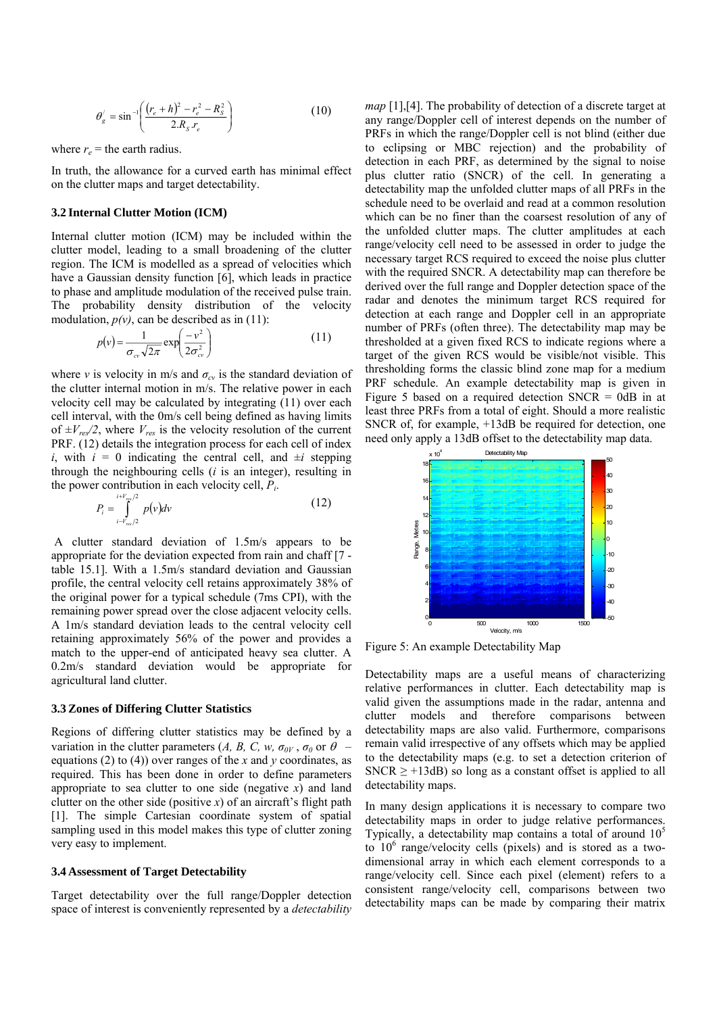$$
\theta'_{g} = \sin^{-1}\left(\frac{(r_e + h)^2 - r_e^2 - R_S^2}{2.R_s r_e}\right)
$$
 (10)

where  $r_e$  = the earth radius.

In truth, the allowance for a curved earth has minimal effect on the clutter maps and target detectability.

#### **3.2 Internal Clutter Motion (ICM)**

Internal clutter motion (ICM) may be included within the clutter model, leading to a small broadening of the clutter region. The ICM is modelled as a spread of velocities which have a Gaussian density function [6], which leads in practice to phase and amplitude modulation of the received pulse train. The probability density distribution of the velocity modulation,  $p(v)$ , can be described as in (11):

$$
p(v) = \frac{1}{\sigma_{cv} \sqrt{2\pi}} \exp\left(\frac{-v^2}{2\sigma_{cv}^2}\right)
$$
 (11)

where *v* is velocity in m/s and  $\sigma_{cv}$  is the standard deviation of the clutter internal motion in m/s. The relative power in each velocity cell may be calculated by integrating (11) over each cell interval, with the 0m/s cell being defined as having limits of  $\pm V_{res}/2$ , where  $V_{res}$  is the velocity resolution of the current PRF. (12) details the integration process for each cell of index *i*, with  $i = 0$  indicating the central cell, and  $\pm i$  stepping through the neighbouring cells (*i* is an integer), resulting in the power contribution in each velocity cell, *Pi*.

$$
P_i = \int_{i-V_{\text{res}}/2}^{i+V_{\text{res}}/2} p(v) dv
$$
 (12)

 A clutter standard deviation of 1.5m/s appears to be appropriate for the deviation expected from rain and chaff [7 table 15.1]. With a 1.5m/s standard deviation and Gaussian profile, the central velocity cell retains approximately 38% of the original power for a typical schedule (7ms CPI), with the remaining power spread over the close adjacent velocity cells. A 1m/s standard deviation leads to the central velocity cell retaining approximately 56% of the power and provides a match to the upper-end of anticipated heavy sea clutter. A 0.2m/s standard deviation would be appropriate for agricultural land clutter.

#### **3.3 Zones of Differing Clutter Statistics**

Regions of differing clutter statistics may be defined by a variation in the clutter parameters (*A, B, C, w,*  $\sigma_{0V}$ *,*  $\sigma_0$  or  $\theta$ equations (2) to (4)) over ranges of the *x* and *y* coordinates, as required. This has been done in order to define parameters appropriate to sea clutter to one side (negative  $\hat{x}$ ) and land clutter on the other side (positive  $x$ ) of an aircraft's flight path [1]. The simple Cartesian coordinate system of spatial sampling used in this model makes this type of clutter zoning very easy to implement.

#### **3.4 Assessment of Target Detectability**

Target detectability over the full range/Doppler detection space of interest is conveniently represented by a *detectability*  *map* [1], [4]. The probability of detection of a discrete target at any range/Doppler cell of interest depends on the number of PRFs in which the range/Doppler cell is not blind (either due to eclipsing or MBC rejection) and the probability of detection in each PRF, as determined by the signal to noise plus clutter ratio (SNCR) of the cell. In generating a detectability map the unfolded clutter maps of all PRFs in the schedule need to be overlaid and read at a common resolution which can be no finer than the coarsest resolution of any of the unfolded clutter maps. The clutter amplitudes at each range/velocity cell need to be assessed in order to judge the necessary target RCS required to exceed the noise plus clutter with the required SNCR. A detectability map can therefore be derived over the full range and Doppler detection space of the radar and denotes the minimum target RCS required for detection at each range and Doppler cell in an appropriate number of PRFs (often three). The detectability map may be thresholded at a given fixed RCS to indicate regions where a target of the given RCS would be visible/not visible. This thresholding forms the classic blind zone map for a medium PRF schedule. An example detectability map is given in Figure 5 based on a required detection  $SNCR = 0dB$  in at least three PRFs from a total of eight. Should a more realistic SNCR of, for example, +13dB be required for detection, one need only apply a 13dB offset to the detectability map data.



Figure 5: An example Detectability Map

Detectability maps are a useful means of characterizing relative performances in clutter. Each detectability map is valid given the assumptions made in the radar, antenna and clutter models and therefore comparisons between detectability maps are also valid. Furthermore, comparisons remain valid irrespective of any offsets which may be applied to the detectability maps (e.g. to set a detection criterion of SNCR  $\ge$  +13dB) so long as a constant offset is applied to all detectability maps.

In many design applications it is necessary to compare two detectability maps in order to judge relative performances. Typically, a detectability map contains a total of around  $10<sup>5</sup>$ to  $10^6$  range/velocity cells (pixels) and is stored as a twodimensional array in which each element corresponds to a range/velocity cell. Since each pixel (element) refers to a consistent range/velocity cell, comparisons between two detectability maps can be made by comparing their matrix